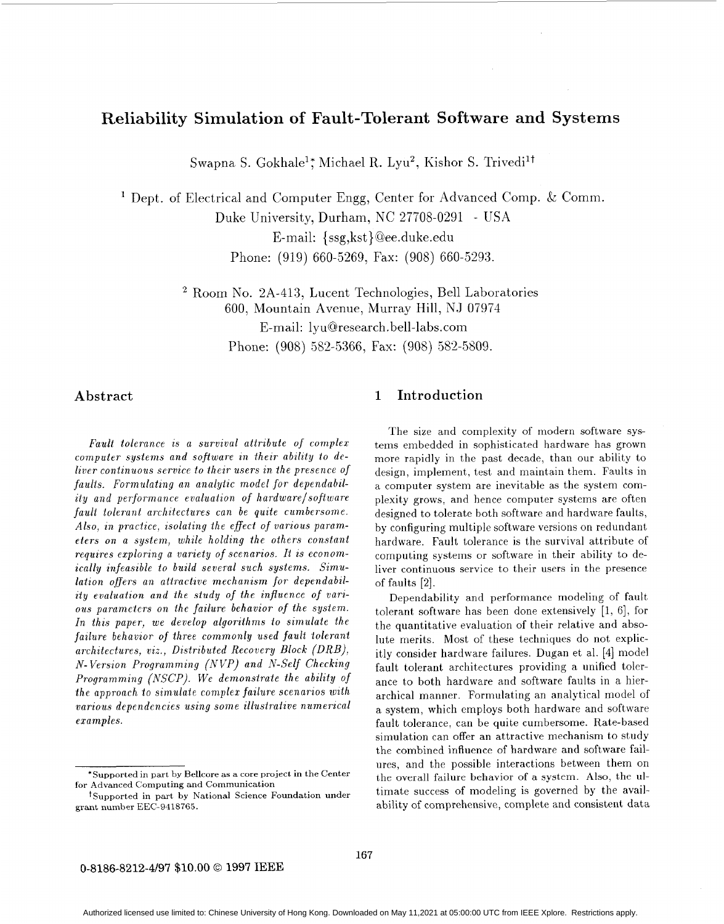# Reliability Simulation of Fault-Tolerant Software and Systems

Swapna S. Gokhale'; Michael R. Lyu2, Kishor S. Trivedi't

<sup>1</sup> Dept. of Electrical and Computer Engg, Center for Advanced Comp. & Comm. E-mail: {ssg, kst}@ee.duke.edu Phone: (919) 660-5269, Fax: (908) 660-5293. Duke University, Durham, NC 27708-0291 - USA

> <sup>2</sup> Room No. 2A-413, Lucent Technologies, Bell Laboratories 600, Mountain Avenue, Murray Hill, NJ 07974 E-mail: [lyu@research.bell-labs.com](mailto:lyu@research.bell-labs.com) Phone: (908) 582-5366, Fax: (908) 582-5809.

*Fault tolerance is a survival attribute of complex computer systems and software in their ability to deliver continuous service to their users in the presence of faults. Formulating an analytic model for dependabilily and performance evaluation of hardwarelsoftware fault tolerant architectures can be quite cumbersome. Also, in practice, isolating the effect of various parameters on a system, while holding the others constant requires exploring a variety of scenarios. It is economically infeasible to build several such systems. Simulation offers an attractive mechanism for dependability evaluation and the study of the influence of various parameters on the failure behavior of the system. In this paper, we develop algorithms to simulate the failure behavior* of *three commonly used fault tolerant architectures, viz., Distributed Recovery Block (ORB), N- Version Programming (NVP) and N-Self Checking Programming (NSCP). We demonstrate the ability* of *the approach to simulate complex failure scenarios with various dependencies using some illustrative numerical examples.* 

## Abstract 1 Introduction

The size and complexity of modern software systems embedded in sophisticated hardware has grown more rapidly in the past decade, than our ability to design, implement, test and maintain them. Faults in a computer system are inevitable as the system complexity grows, and hence computer systems are often designed to tolerate both software and hardware faults, by configuring multiple software versions on redundant hardware. Fault tolerance is the survival attribute of computing systems or software in their ability to deliver continuous service to their users in the presence of faults *[a].* 

Dependability and performance modeling of fault tolerant software has been done extensively  $[1, 6]$ , for the quantitative evaluation of their relative and absolute merits. Most of these techniques do not explicitly consider hardware failures. Dugan et al. [4] model fault tolerant architectures providing a unified tolerance to both hardware and software faults in a hierarchical manner. Formulating an analytical model of a system, which employs both hardware and software fault tolerance, can be quite cumbersome. Rate-based simulation can offer an attractive mechanism to study the combined influence of hardware and software failures, and the possible interactions between them on the overall failure behavior of a system. **Also,** the ultimate success of modeling is governed by the availability of comprehensive, complete and consistent data

<sup>&#</sup>x27;Supported in part by Bellcore as a core project in the Center for Advanced Computing and Communication

t Supported in part **by** National Science Foundation under grant number EEC-9418765.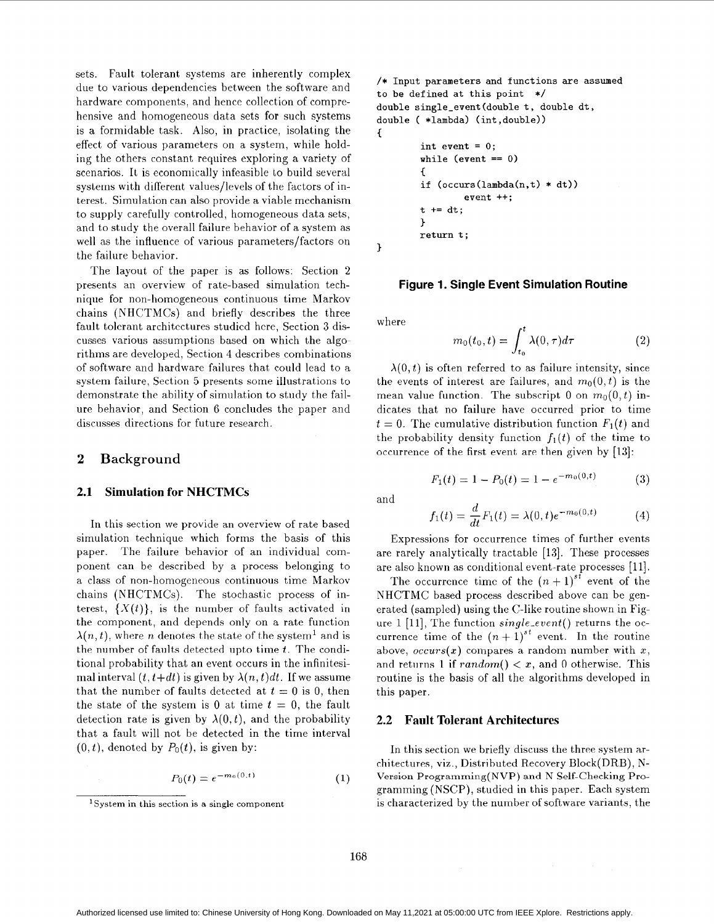sets. Fault tolerant systems are inherently complex due to various dependencies between the software and hardware components, and hence collection of comprehensive and homogeneous data sets for such systems is a formidable task. Also, in practice, isolating the effect of various parameters on a system, while holding the others constant requires exploring a variety of scenarios. It is economically infeasible to build several systems with different values/levels of the factors of interest. Simulation can also provide a viable mechanism to supply carefully controlled, homogeneous data sets, and to study the overall failure behavior of a system as well as the influence of various parameters/factors on the failure behavior.

The layout of the paper is as follows: Section 2 presents an overview of rate-based simulation technique for non-homogeneous continuous time Markov chains (NHCTMCs) and briefly describes the three fault tolcrant architectures studicd hcrc, Section **3** discusses various assumptions based on which the algorithms are developed, Section 4 describes combinations of software and hardware failures that could lead to a system failure, Section 5 presents some illustrations to demonstrate the ability of simulation to study the failure behavior, and Section 6 concludes the paper and discusses directions for future research.

## **2 Background**

#### **2.1 Simulation for NHCTMCs**

In this section we provide an overview of rate based simulation technique which forms the basis of this paper. The failure behavior of an individual component can be described by a process belonging to a class of non-homogeneous continuous time Markov chains (NHCTMCs). The stochastic process of interest,  $\{X(t)\}\)$ , is the number of faults activated in the component, and depends only on a rate function  $\lambda(n,t)$ , where *n* denotes the state of the system<sup>1</sup> and is the number of faults detected upto time *t*. The conditional probability that an event occurs in the infinitesimal interval  $(t, t+dt)$  is given by  $\lambda(n, t)dt$ . If we assume that the number of faults detected at  $t = 0$  is 0, then the state of the system is 0 at time  $t = 0$ , the fault detection rate is given by  $\lambda(0,t)$ , and the probability that a fault will not be detected in the time interval  $(0, t)$ , denoted by  $P_0(t)$ , is given by:

$$
P_0(t) = e^{-m_0(0,t)} \tag{1}
$$

```
/* Input parameters and functions are assumed 
to be defined at this point */ 
double single-event(doub1e t, double dt, 
double ( *lambda) (int ,double)) 
        int event = 0; 
        while (event == 0) 
         c 
        if (occurs(lambda(n,t) * dt)) 
        t += dt; 
        return t ; 
c 
                 event ++; 
        1
```
**1** 

#### **Figure 1. Single Event Simulation Routine**

where

$$
m_0(t_0, t) = \int_{t_0}^t \lambda(0, \tau) d\tau \tag{2}
$$

 $\lambda(0,t)$  is often referred to as failure intensity, since the events of interest are failures, and  $m_0(0, t)$  is the mean value function. The subscript 0 on  $m_0(0, t)$  indicates that no failure have occurred prior to time  $t = 0$ . The cumulative distribution function  $F_1(t)$  and the probability density function  $f_1(t)$  of the time to occurrence of the first event are then given by [13]:

$$
F_1(t) = 1 - P_0(t) = 1 - e^{-m_0(0, t)}
$$
 (3)

and

$$
f_1(t) = \frac{d}{dt} F_1(t) = \lambda(0, t) e^{-m_0(0, t)}
$$
 (4)

Expressions for occurrence times of further events are rarely analytically tractable **[13].** These processes are also known as conditional event-rate processes [ll].

The occurrence time of the  $(n+1)^{st}$  event of the NHCTMC based process described above can be generated (sampled) using the C-like routine shown in Figure 1 [ll], The function *single-event()* returns the occurrence time of the  $(n+1)^{st}$  event. In the routine above,  $occurs(x)$  compares a random number with x, and returns 1 if  $random() < x$ , and 0 otherwise. This routine is the basis of all the algorithms developed in this paper.

## **2.2 Fault Tolerant Architectures**

In this section we briefly discuss the three system architectures, viz., Distributed Recovery Block(DRB), N-Version Programming(NVP) and N Self-checking Programming (NSCP), studied in this paper. Each system is characterized by the number of software variants, the

<sup>&#</sup>x27;System in this section is a single component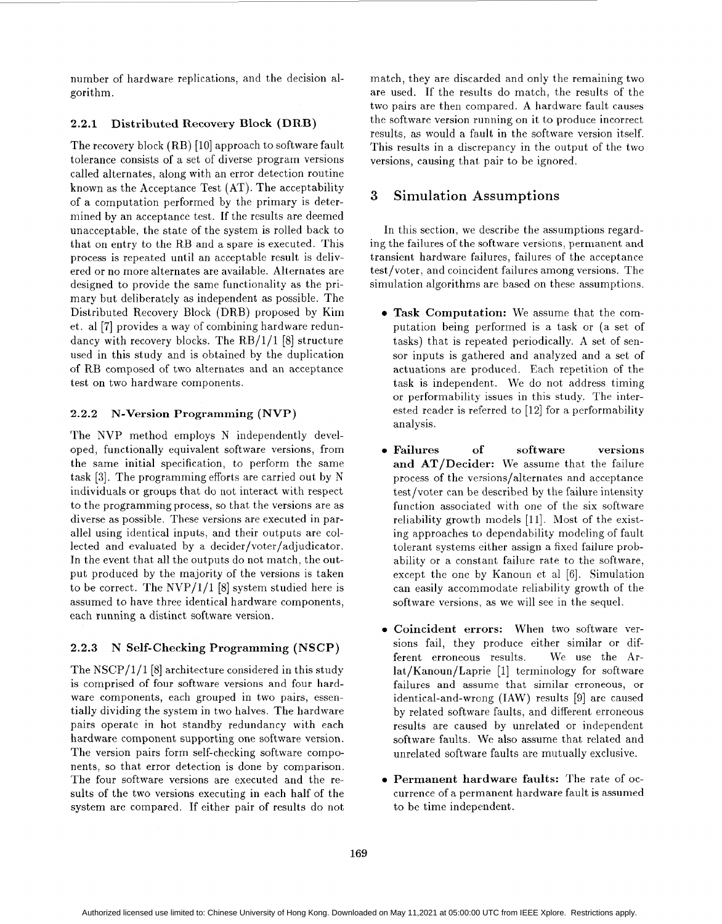number of hardware replications, and the decision algorithm.

#### **2.2.1 Distributed Recovery Block (DRB)**

The recovery block (RB) [10] approach to software fault tolerance consists of a set of diverse program versions called alternates, along with an error detection routine known as the Acceptance Test (AT). The acceptability of a computation performed by the primary is determined by an acceptance test. If the results are deemed unacceptable, the state of the system is rolled back to that on entry to the RB and a spare is executed. This process is repeated until an acceptable result is delivered or no more alternates are available. Alternates are designed to provide the same functionality as the primary but deliberately as independent as possible. The Distributed Recovery Block (DRB) proposed by Kim et. a1 [7] provides a way of combining hardware redundancy with recovery blocks. The RB/1/1 [8] structure used in this study and is obtained by the duplication of RB composed of two alternates and an acceptance test on two hardware components.

## **2.2.2 N-Version Programming (NVP)**

The NVP method employs N independently developed, functionally equivalent software versions, from the same initial specification, to perform the same task [3]. The programming efforts are carried out by N individuals or groups that do not interact with respect to the programming process, so that the versions are as diverse as possible. These versions are executed in parallel using identical inputs, and their outputs are collected and evaluated by a decider/voter/adjudicator. In the event that all the outputs do not match, the output produced by the majority of the versions is taken to be correct. The  $NVP/1/1$  [8] system studied here is assumed to have three identical hardware components, each running a distinct software version.

## **2.2.3 N Self-checking Programming (NSCP)**

The NSCP/1/1 [8] architecture considered in this study is comprised of four software versions and four hardware components, each grouped in two pairs, essentially dividing the system in two halves. The hardware pairs operate in hot standby redundancy with each hardware component supporting one software version. The version pairs form self-checking software components, so that error detection is done by comparison. The four software versions are executed and the results of the two versions executing in each half of the system are compared. If either pair of results do not match, they are discarded and only the remaining two are used. If the results do match, the results of the two pairs are then compared. A hardware fault causes the software version running on it to produce incorrect results, as would a fault in the software version itself. This results in a discrepancy in the output of the two versions, causing that pair to be ignored.

## **3** Simulation Assumptions

In this section, we describe the assumptions regarding the failures of the software versions, permanent and transient hardware failures, failures of the acceptance test/voter, and coincident failures among versions. The simulation algorithms are based on these assumptions.

- **Task Computation:** We assume that the computation being performed is a task or (a set of tasks) that is repeated periodically. A set of sensor inputs is gathered and analyzed and a set of actuations are produced. Each repetition of the task is independent. We do not address timing or performability issues in this study. The interested reader is referred to  $[12]$  for a performability analysis.
- **Failures of software versions and AT/Decider:** We assume that the failure process of the versions/alternates and acceptance test/voter can be described by the failure intensity function associated with one of the six software reliability growth models [11]. Most of the existing approaches to dependability modeling of fault tolerant systems either assign a fixed failure probability or a constant failure rate to the software, except the one by Kanoun et a1 [6]. Simulation can easily accommodate reliability growth of the software versions, as we will see in the sequel.
- **Coincident errors:** When two software versions fail, they produce either similar or different erroneous results. We use the Arlat/Kanoun/Laprie [l] terminology for software failures and assume that similar erroneous, or identical-and-wrong (IAW) results [9] are caused by related software faults, and different erroneous results are caused by unrelated or independent software faults. We also assume that related and unrelated software faults are mutually exclusive.
- **Permanent hardware faults:** The rate of occurrence of a permanent hardware fault is assumed to be time independent.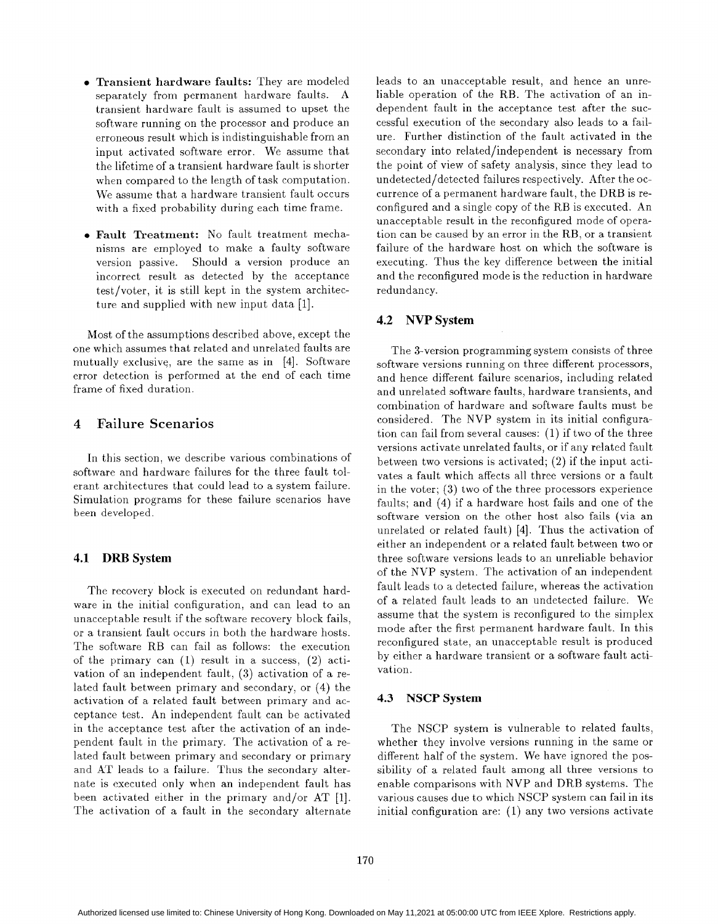- Transient hardware faults: They are modeled separately from permanent hardware faults. A transient hardware fault is assumed to upset the software running on the processor and produce an erroneous result which is indistinguishable from an input activated software error. We assume that the lifetime of a transient hardware fault is shorter when compared to the length of task computation. We assume that a hardware transient fault occurs with a fixed probability during each time frame.
- Fault Treatment: No fault treatment mechanisms are employed to make a faulty software version passive. Should a version produce an incorrect result as detected by the acceptance test/voter, it is still kept in the system architecture and supplied with new input data [l].

Most of the assumptions described above, except the one which assumes that related and unrelated faults are mutually exclusive, are the same as in [4]. Software error detection is performed at the end of each time frame of fixed duration.

## **4** Failure Scenarios

In this section, we describe various combinations of software and hardware failures for the three fault tolerant architectures that could lead to a system failure. Simulation programs for these failure scenarios have been developed.

## **4.1 DRB System**

The recovery block is executed on redundant hardware in the initial configuration, and can lead to an unacceptable result if the software recovery block fails, or a transient fault occurs in both the hardware hosts. The software RB can fail as follows: the execution of the primary can (1) result in a success, *(2)* activation of an independent fault, *(3)* activation of a related fault between primary and secondary, or **(4)** the activation of a related fault between primary and acceptance test. An independent fault can be activated in the acceptance test after the activation of an independent fault in the primary. The activation of a related fault between primary and secondary or primary and AT leads to a failure. Thus the secondary alternate is executed only when an independent fault has been activated either in the primary and/or AT [l]. The activation of a fault in the secondary alternate leads to an unacceptable result, and hence an unreliable operation of the RB. The activation of an independent fault in the acceptance test after the successful execution of the secondary also leads to a failure. Further distinction of the fault activated in the secondary into related/independent is necessary from the point of view of safety analysis, since they lead to undetected/detected failures respectively. After the occurrence of a permanent hardware fault, the DRB is reconfigured and a single copy of the RB is executed. An unacceptable result in the reconfigured mode of operation can be caused by an error in the RB, or a transient failure of the hardware host on which the software is executing. Thus the key difference between the initial and the reconfigured mode is the reduction in hardware redundancy.

## **4.2 NVP System**

The 3-version programming system consists of three software versions running on three different processors, and hence different failure scenarios, including related and unrelated software faults, hardware transients, and combination of hardware and software faults must be considered. The NVP system in its initial configuration can fail from several causes: (1) if two of the three versions activate unrelated faults, or if any related fault between two versions is activated; (2) if the input activates a fault which affects all three versions or a fault in the voter; *(3)* two of the three processors experience faults; and (4) if a hardware host fails and one of the software version on the other host also fails (via an unrelated or related fault) [4]. Thus the activation of either an independent or a related fault between two or three software versions leads to an unreliable behavior of the NVP system. The activation of an independent fault leads to a detected failure, whereas the activation of a related fault leads to an undetected failure. We assume that the system is reconfigured to the simplex mode after the first permanent hardware fault. In this reconfigured state, an unacceptable result is produced by either a hardware transient or a software fault activation.

#### **4.3 NSCP System**

The NSCP system is vulnerable to related faults, whether they involve versions running in the same or different half of the system. We have ignored the possibility of a related fault among all three versions to enable comparisons with NVP and DRB systems. The various causes due to which NSCP system can fail in its initial configuration are: (1) any two versions activate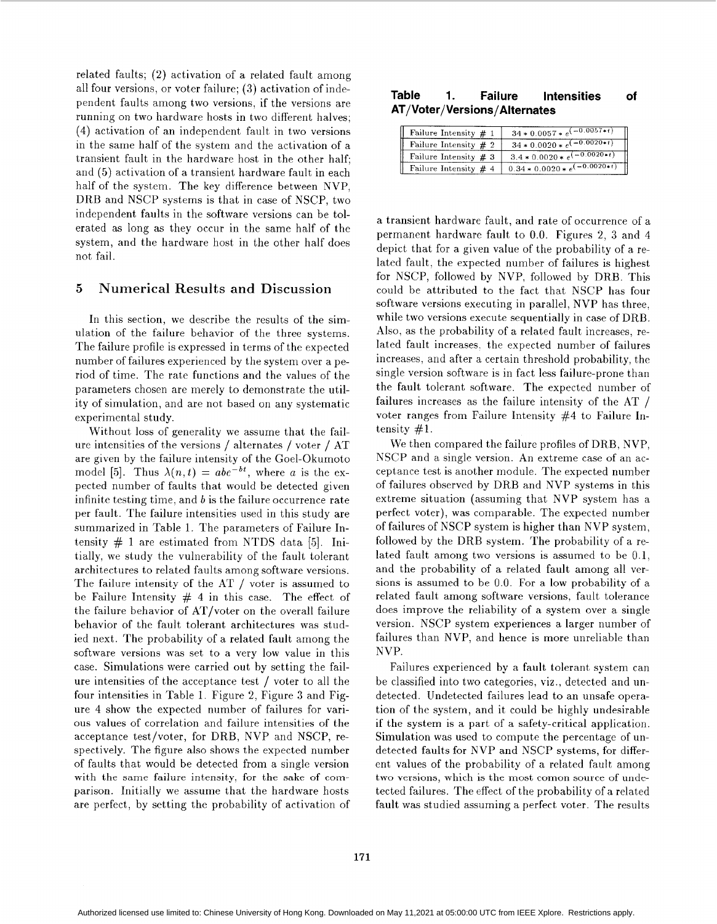related faults; (2) activation of a related fault among all four versions, or voter failure; **(3)** activation of independent faults among two versions, if the versions are running on two hardware hosts in two different halves; (4) activation of an independent fault in two versions in the same half of the system and the activation of a transient fault in the hardware host in the other half; and (5) activation of a transient hardware fault in each half of the system. The key difference between NVP, DRB and NSCP systems is that in case of NSCP, two independent faults in the software versions can be tolerated as long as they occur in the same half of the system, and the hardware host in the other half does not fail.

## *5* Numerical Results and Discussion

In this section, we describe the results of the simulation of the failure behavior of the three systems. The failure profile is expressed in terms of the expected number of failures experienced by the system over a period of time. The rate functions and the values of the parameters chosen are merely to demonstrate the utility of simulation, and are not based on any systematic experimental study.

Without loss of generality we assume that the failure intensities of the versions / alternates / voter / AT are given by the failure intensity of the Goel-Okumoto model [5]. Thus  $\lambda(n,t) = abe^{-bt}$ , where a is the expected number of faults that would be detected given infinite testing time, and *b* is the failure occurrence rate per fault. The failure intensities used in this study are summarized in Table 1. The parameters of Failure Intensity  $\#$  1 are estimated from NTDS data [5]. Initially, we study the vulnerability of the fault tolerant architectures to related faults among software versions. The failure intensity of the AT / voter is assumed to be Failure Intensity  $# 4$  in this case. The effect of the failure behavior of AT/voter on the overall failure behavior of the fault tolerant architectures was studied next. The probability of a related fault among the software versions was set to a very low value in this case. Simulations were carried out by setting the failure intensities of the acceptance test / voter to all the four intensities in Table 1. Figure 2, Figure *3* and Figure 4 show the expected number of failures for various values of correlation and failure intensities of the acceptance test/voter, for DRB, NVP and NSCP, respectively. The figure also shows the expected number of faults that would be detected from a single version with the same failure intensity, for the sake of comparison. Initially we assume that the hardware hosts are perfect, by setting the probability of activation of

## **Table 1. Failure Intensities of AT/Voter/Versions/ Alternates**

| Failure Intensity $# 1$ | $34 * 0.0057 * e^{(-0.0057 * t)}$   |
|-------------------------|-------------------------------------|
| Failure Intensity $#2$  | $34 * 0.0020 * e^{(-0.0020 + t)}$   |
| Failure Intensity $# 3$ | $3.4 * 0.0020 * e^{(-0.0020 * t)}$  |
| Failure Intensity $#4$  | $0.34 * 0.0020 * e^{(-0.0020 * t)}$ |

a transient hardware fault, and rate of occurrence of a permanent hardware fault to 0.0. Figures 2, *3* and **4**  depict that for a given value of the probability of a related fault, the expected number of failures is highest for NSCP, followed by NVP, followed by DRB. This could be attributed to the fact that NSCP has four software versions executing in parallel, NVP has three, while two versions execute sequentially in case of DRB. Also, as the probability of a related fault increases, related fault increases. the expected number of failures increases, and after a certain threshold probability, the single version software is in fact less failure-prone than the fault tolerant software. The expected number of failures increases as the failure intensity of the AT / voter ranges from Failure Intensity #4 to Failure Intensity #l.

We then compared the failure profiles of DRB, NVP, NSCP and a single version. An extreme case of an acceptance test is another module. The expected number of failures observed by DRB and NVP systems in this extreme situation (assuming that NVP system has a perfect voter), was comparable. The expected number of failures of NSCP system is higher than NVP system, followed by the DRB system. The probability of a related fault among two versions is assumed to be 0.1, and the probability of a related fault among all versions is assumed to be 0.0. For a low probability of a related fault among software versions, fault tolerance does improve the reliability of a system over a single version. NSCP system experiences a larger number of failures than NVP, and hence is more unreliable than NVP.

Failures experienced by a fault tolerant system can be classified into two categories, viz., detected and undetected. Undetected failures lead to an unsafe operation of the system, and it could be highly undesirable if the system is a part of a safety-critical application. Simulation was used to compute the percentage of undetected faults for NVP and NSCP systems, for different values of the probability of a related fault among two versions, which is the most comon source of undetected failures. The effect of the probability of a related fault was studied assuming a perfect voter. The results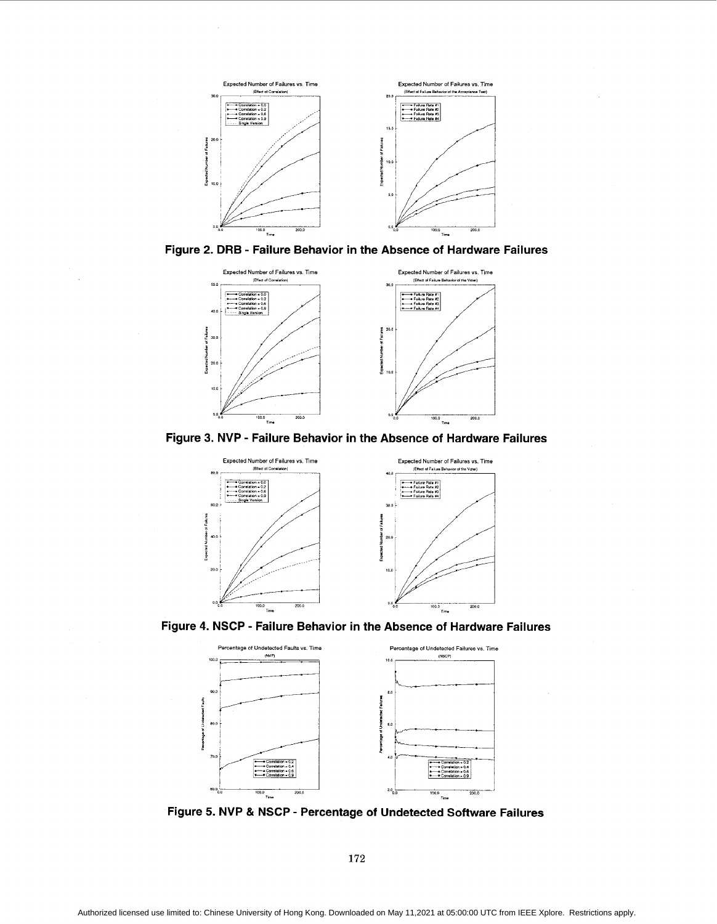<span id="page-5-0"></span>





**Figure 3. NVP** - **Failure Behavior in the Absence of Hardware Failures** 



**Figure 4. NSCP** - **Failure Behavior in the Absence of Hardware Failures** 



**Figure 5. NVP** *81* **NSCP** - **Percentage of Undetected Software Failures** 

**172**